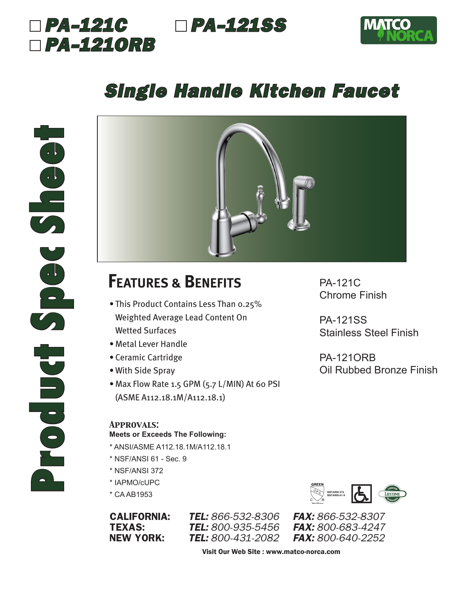



## *Single Handle Kitchen Faucet*



## **FEATURES & BENEFITS**

- This Product Contains Less Than 0.25% Weighted Average Lead Content On Wetted Surfaces
- Metal Lever Handle
- Ceramic Cartridge
- With Side Spray
- Max Flow Rate 1.5 GPM (5.7 L/MIN) At 60 PSI (ASME A112.18.1M/A112.18.1)

### *Approvals:*

#### **Meets or Exceeds The Following:**

- \* ANSI/ASME A112.18.1M/A112.18.1
- \* NSF/ANSI 61 Sec. 9
- \* NSF/ANSI 372
- \* IAPMO/cUPC
- \* CA AB1953

**TEL:** 800-935-5456

**Water Efficiency NSF/ANSI 372 NSF/ANSI 61-9**

CALIFORNIA: *TEL: 866-532-8306 FAX: 866-532-8307* NEW YORK: *TEL: 800-431-2082 FAX: 800-640-2252*

Visit Our Web Site : www.matco-norca.com

PA-121C Chrome Finish

PA-121SS Stainless Steel Finish

PA-121ORB Oil Rubbed Bronze Finish